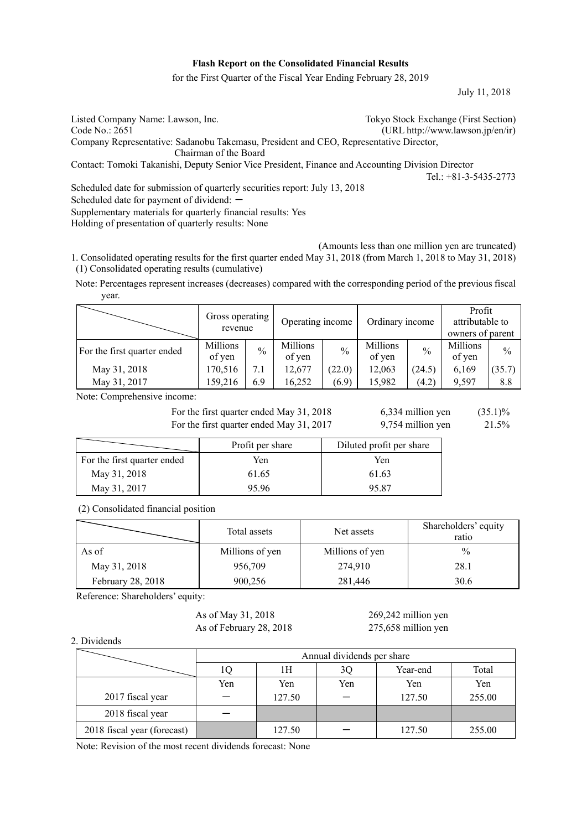## **Flash Report on the Consolidated Financial Results**

for the First Quarter of the Fiscal Year Ending February 28, 2019

July 11, 2018

| Listed Company Name: Lawson, Inc.                                                                 | Tokyo Stock Exchange (First Section) |
|---------------------------------------------------------------------------------------------------|--------------------------------------|
| Code No.: 2651                                                                                    | (URL http://www.lawson.jp/en/ir)     |
| Company Representative: Sadanobu Takemasu, President and CEO, Representative Director,            |                                      |
| Chairman of the Board                                                                             |                                      |
| Contact: Tomoki Takanishi, Deputy Senior Vice President, Finance and Accounting Division Director |                                      |
|                                                                                                   | Tel.: $+81-3-5435-2773$              |
| Scheduled date for submission of quarterly securities report: July 13, 2018                       |                                      |
|                                                                                                   |                                      |

Scheduled date for payment of dividend:  $-$ 

Supplementary materials for quarterly financial results: Yes

Holding of presentation of quarterly results: None

(Amounts less than one million yen are truncated)

1. Consolidated operating results for the first quarter ended May 31, 2018 (from March 1, 2018 to May 31, 2018) (1) Consolidated operating results (cumulative)

Note: Percentages represent increases (decreases) compared with the corresponding period of the previous fiscal year.

|                             | Gross operating<br>revenue |               | Operating income   |               | Ordinary income    |               | Profit<br>attributable to<br>owners of parent |               |
|-----------------------------|----------------------------|---------------|--------------------|---------------|--------------------|---------------|-----------------------------------------------|---------------|
| For the first quarter ended | Millions<br>of yen         | $\frac{0}{0}$ | Millions<br>of yen | $\frac{0}{0}$ | Millions<br>of yen | $\frac{0}{0}$ | Millions<br>of yen                            | $\frac{0}{0}$ |
| May 31, 2018                | 170,516                    | 7.1           | 12.677             | (22.0)        | 12,063             | (24.5)        | 6,169                                         | (35.7)        |
| May 31, 2017                | 159,216                    | 6.9           | 16,252             | (6.9)         | 15,982             | (4.2)         | 9.597                                         | 8.8           |

Note: Comprehensive income:

For the first quarter ended May 31, 2018  $6,334$  million yen  $(35.1)\%$ For the first quarter ended May 31, 2017 9,754 million yen 21.5%

|                             | Profit per share | Diluted profit per share |
|-----------------------------|------------------|--------------------------|
| For the first quarter ended | Yen              | Yen                      |
| May 31, 2018                | 61.65            | 61.63                    |
| May 31, 2017                | 95.96            | 95.87                    |

## (2) Consolidated financial position

|                   | Total assets    | Net assets      | Shareholders' equity<br>ratio |  |
|-------------------|-----------------|-----------------|-------------------------------|--|
| As of             | Millions of yen | Millions of yen | $\%$                          |  |
| May 31, 2018      | 956,709         | 274,910         | 28.1                          |  |
| February 28, 2018 | 900,256         | 281,446         | 30.6                          |  |

Reference: Shareholders' equity:

As of May 31, 2018 269,242 million yen

As of February 28, 2018 275,658 million yen

### 2. Dividends

|                             |     | Annual dividends per share |     |          |        |  |  |  |  |
|-----------------------------|-----|----------------------------|-----|----------|--------|--|--|--|--|
|                             | Ю   | 1Н                         | 3Q  | Year-end | Total  |  |  |  |  |
|                             | Yen | Yen                        | Yen | Yen      | Yen    |  |  |  |  |
| 2017 fiscal year            |     | 127.50                     |     | 127.50   | 255.00 |  |  |  |  |
| 2018 fiscal year            |     |                            |     |          |        |  |  |  |  |
| 2018 fiscal year (forecast) |     | 127.50                     |     | 127.50   | 255.00 |  |  |  |  |

Note: Revision of the most recent dividends forecast: None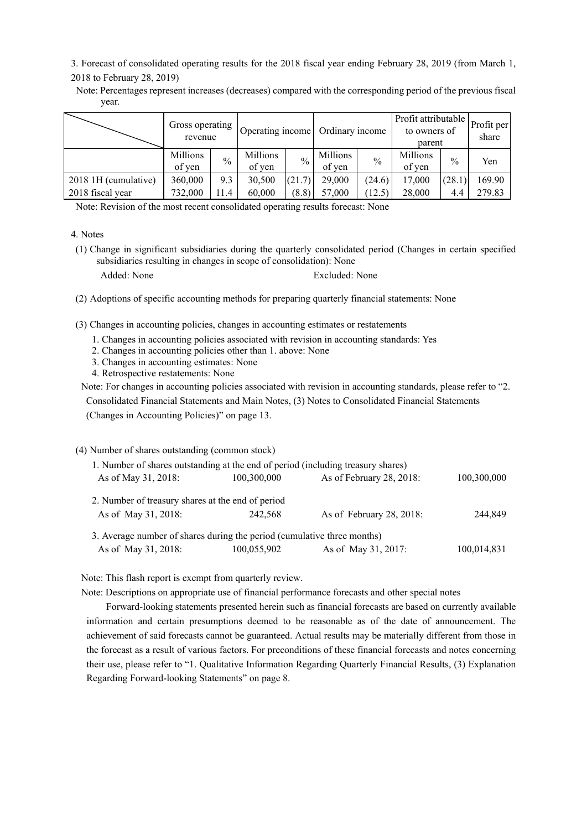3. Forecast of consolidated operating results for the 2018 fiscal year ending February 28, 2019 (from March 1, 2018 to February 28, 2019)

Note: Percentages represent increases (decreases) compared with the corresponding period of the previous fiscal year.

|                      | Gross operating<br>revenue |               |                    | Operating income |                    | Ordinary income |                    | Profit attributable<br>to owners of<br>parent |        |
|----------------------|----------------------------|---------------|--------------------|------------------|--------------------|-----------------|--------------------|-----------------------------------------------|--------|
|                      | Millions<br>of ven         | $\frac{0}{0}$ | Millions<br>of ven | $\frac{0}{0}$    | Millions<br>of yen | $\frac{0}{0}$   | Millions<br>of ven | $\frac{0}{0}$                                 | Yen    |
| 2018 1H (cumulative) | 360,000                    | 9.3           | 30,500             | (21.7)           | 29,000             | (24.6)          | 17,000             | (28.1)                                        | 169.90 |
| 2018 fiscal year     | 732,000                    | 11.4          | 60,000             | (8.8)            | 57,000             | (12.5)          | 28,000             | 4.4                                           | 279.83 |

Note: Revision of the most recent consolidated operating results forecast: None

4. Notes

(1) Change in significant subsidiaries during the quarterly consolidated period (Changes in certain specified subsidiaries resulting in changes in scope of consolidation): None

Added: None Excluded: None

(2) Adoptions of specific accounting methods for preparing quarterly financial statements: None

(3) Changes in accounting policies, changes in accounting estimates or restatements

- 1. Changes in accounting policies associated with revision in accounting standards: Yes
- 2. Changes in accounting policies other than 1. above: None
- 3. Changes in accounting estimates: None
- 4. Retrospective restatements: None

Note: For changes in accounting policies associated with revision in accounting standards, please refer to "2.

Consolidated Financial Statements and Main Notes, (3) Notes to Consolidated Financial Statements (Changes in Accounting Policies)" on page 13.

(4) Number of shares outstanding (common stock)

| 1. Number of shares outstanding at the end of period (including treasury shares) |             |                          |             |
|----------------------------------------------------------------------------------|-------------|--------------------------|-------------|
| As of May 31, 2018:                                                              | 100,300,000 | As of February 28, 2018: | 100,300,000 |
| 2. Number of treasury shares at the end of period                                |             |                          |             |
| As of May 31, 2018:                                                              | 242.568     | As of February 28, 2018: | 244,849     |
| 3. Average number of shares during the period (cumulative three months)          |             |                          |             |
| As of May 31, 2018:                                                              | 100,055,902 | As of May 31, 2017:      | 100,014,831 |

Note: This flash report is exempt from quarterly review.

Note: Descriptions on appropriate use of financial performance forecasts and other special notes

Forward-looking statements presented herein such as financial forecasts are based on currently available information and certain presumptions deemed to be reasonable as of the date of announcement. The achievement of said forecasts cannot be guaranteed. Actual results may be materially different from those in the forecast as a result of various factors. For preconditions of these financial forecasts and notes concerning their use, please refer to "1. Qualitative Information Regarding Quarterly Financial Results, (3) Explanation Regarding Forward-looking Statements" on page 8.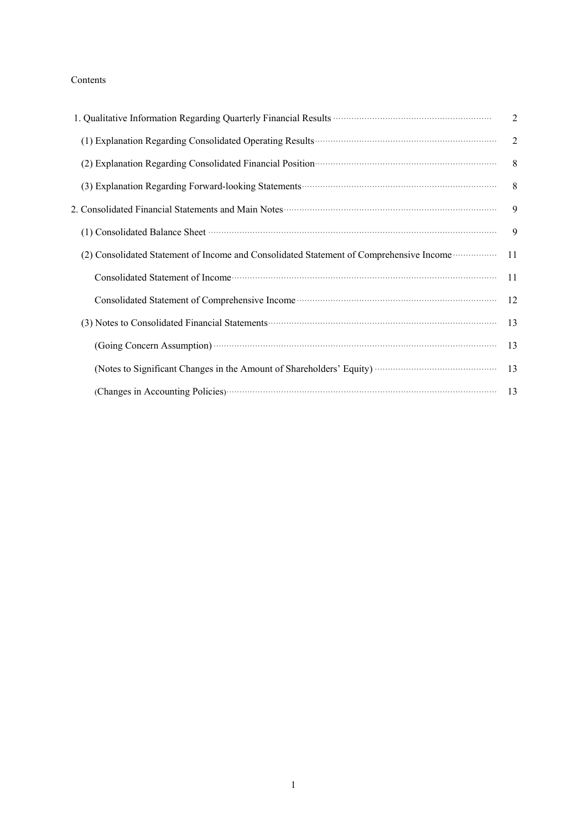# Contents

| 1. Qualitative Information Regarding Quarterly Financial Results <b>Constructs</b> All and the United States of All and States All and States All and States All and States All and States All and States All and States All and St | $\overline{2}$ |
|-------------------------------------------------------------------------------------------------------------------------------------------------------------------------------------------------------------------------------------|----------------|
| (1) Explanation Regarding Consolidated Operating Results <b>Constanting Consolidated</b>                                                                                                                                            | 2              |
| (2) Explanation Regarding Consolidated Financial Position (2) Explanation Regarding Consolidated Financial Position (3)                                                                                                             | 8 <sup>8</sup> |
|                                                                                                                                                                                                                                     | 8 <sup>8</sup> |
| 2. Consolidated Financial Statements and Main Notes <b>Constructs</b> 2. Consolidated Financial Statements and Main Notes                                                                                                           | 9              |
| (1) Consolidated Balance Sheet manufactured and a series of the Sheet manufactured and a series of the Sheet manufactured and series of the Sheet manufactured and series of the Sheet manufactured and series of the Sheet ma      | 9              |
| (2) Consolidated Statement of Income and Consolidated Statement of Comprehensive Income <b>Consolidated</b>                                                                                                                         | 11             |
| Consolidated Statement of Income contains a substantial contact the Statement of Income contains a statement of Income contact and statement of Income contact and statement of Income contact and statement of Income contact      | 11             |
| Consolidated Statement of Comprehensive Income manufactured and statement of Comprehensive Income manufactured and statement of Comprehensive Income manufactured and statement of Comprehensive Income manufactured and state      | 12             |
| (3) Notes to Consolidated Financial Statements (2008) and the Consolidated Financial Statements (3) Notes to Consolidated Financial Statements (3)                                                                                  | 13             |
| (Going Concern Assumption) <b>Concern Assumption</b>                                                                                                                                                                                | 13             |
|                                                                                                                                                                                                                                     | 13             |
|                                                                                                                                                                                                                                     |                |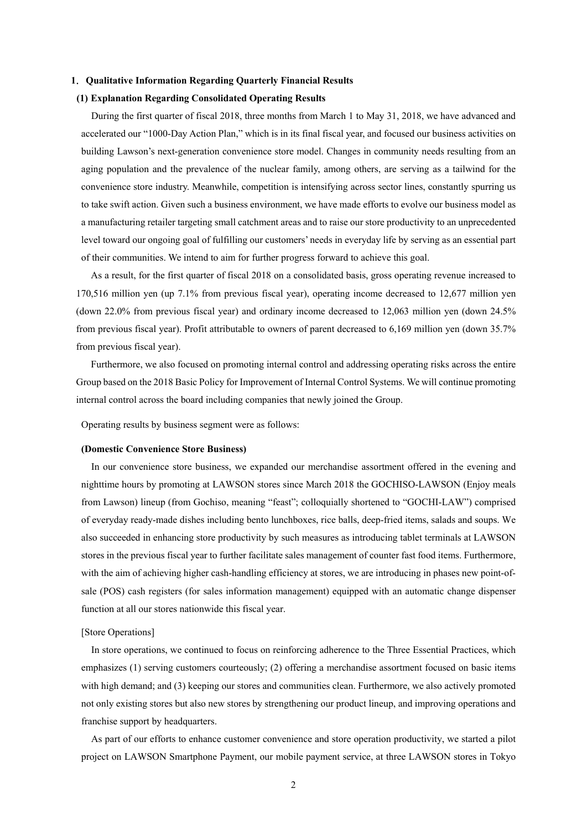### **1**.**Qualitative Information Regarding Quarterly Financial Results**

### **(1) Explanation Regarding Consolidated Operating Results**

During the first quarter of fiscal 2018, three months from March 1 to May 31, 2018, we have advanced and accelerated our "1000-Day Action Plan," which is in its final fiscal year, and focused our business activities on building Lawson's next-generation convenience store model. Changes in community needs resulting from an aging population and the prevalence of the nuclear family, among others, are serving as a tailwind for the convenience store industry. Meanwhile, competition is intensifying across sector lines, constantly spurring us to take swift action. Given such a business environment, we have made efforts to evolve our business model as a manufacturing retailer targeting small catchment areas and to raise our store productivity to an unprecedented level toward our ongoing goal of fulfilling our customers' needs in everyday life by serving as an essential part of their communities. We intend to aim for further progress forward to achieve this goal.

As a result, for the first quarter of fiscal 2018 on a consolidated basis, gross operating revenue increased to 170,516 million yen (up 7.1% from previous fiscal year), operating income decreased to 12,677 million yen (down 22.0% from previous fiscal year) and ordinary income decreased to 12,063 million yen (down 24.5% from previous fiscal year). Profit attributable to owners of parent decreased to 6,169 million yen (down 35.7% from previous fiscal year).

Furthermore, we also focused on promoting internal control and addressing operating risks across the entire Group based on the 2018 Basic Policy for Improvement of Internal Control Systems. We will continue promoting internal control across the board including companies that newly joined the Group.

Operating results by business segment were as follows:

## **(Domestic Convenience Store Business)**

In our convenience store business, we expanded our merchandise assortment offered in the evening and nighttime hours by promoting at LAWSON stores since March 2018 the GOCHISO-LAWSON (Enjoy meals from Lawson) lineup (from Gochiso, meaning "feast"; colloquially shortened to "GOCHI-LAW") comprised of everyday ready-made dishes including bento lunchboxes, rice balls, deep-fried items, salads and soups. We also succeeded in enhancing store productivity by such measures as introducing tablet terminals at LAWSON stores in the previous fiscal year to further facilitate sales management of counter fast food items. Furthermore, with the aim of achieving higher cash-handling efficiency at stores, we are introducing in phases new point-ofsale (POS) cash registers (for sales information management) equipped with an automatic change dispenser function at all our stores nationwide this fiscal year.

## [Store Operations]

In store operations, we continued to focus on reinforcing adherence to the Three Essential Practices, which emphasizes (1) serving customers courteously; (2) offering a merchandise assortment focused on basic items with high demand; and (3) keeping our stores and communities clean. Furthermore, we also actively promoted not only existing stores but also new stores by strengthening our product lineup, and improving operations and franchise support by headquarters.

As part of our efforts to enhance customer convenience and store operation productivity, we started a pilot project on LAWSON Smartphone Payment, our mobile payment service, at three LAWSON stores in Tokyo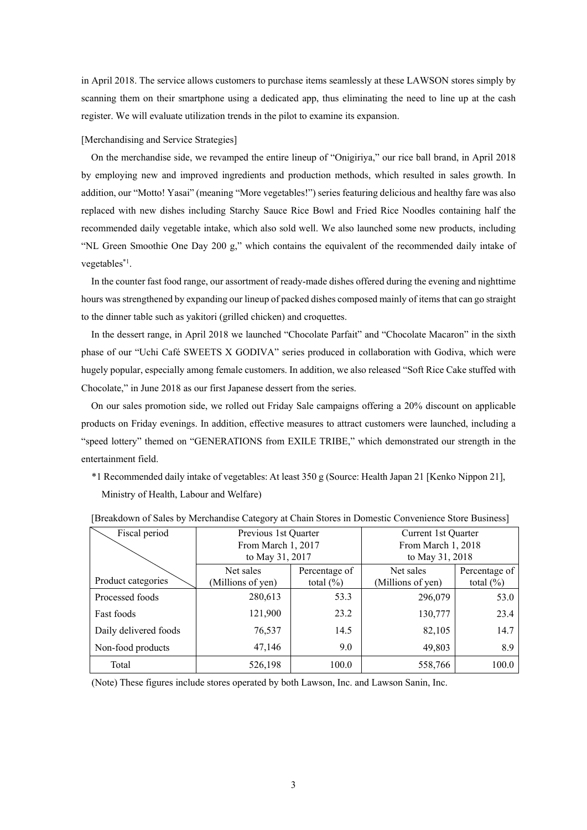in April 2018. The service allows customers to purchase items seamlessly at these LAWSON stores simply by scanning them on their smartphone using a dedicated app, thus eliminating the need to line up at the cash register. We will evaluate utilization trends in the pilot to examine its expansion.

#### [Merchandising and Service Strategies]

On the merchandise side, we revamped the entire lineup of "Onigiriya," our rice ball brand, in April 2018 by employing new and improved ingredients and production methods, which resulted in sales growth. In addition, our "Motto! Yasai" (meaning "More vegetables!") series featuring delicious and healthy fare was also replaced with new dishes including Starchy Sauce Rice Bowl and Fried Rice Noodles containing half the recommended daily vegetable intake, which also sold well. We also launched some new products, including "NL Green Smoothie One Day 200 g," which contains the equivalent of the recommended daily intake of vegetables\*1.

In the counter fast food range, our assortment of ready-made dishes offered during the evening and nighttime hours was strengthened by expanding our lineup of packed dishes composed mainly of items that can go straight to the dinner table such as yakitori (grilled chicken) and croquettes.

In the dessert range, in April 2018 we launched "Chocolate Parfait" and "Chocolate Macaron" in the sixth phase of our "Uchi Café SWEETS X GODIVA" series produced in collaboration with Godiva, which were hugely popular, especially among female customers. In addition, we also released "Soft Rice Cake stuffed with Chocolate," in June 2018 as our first Japanese dessert from the series.

On our sales promotion side, we rolled out Friday Sale campaigns offering a 20% discount on applicable products on Friday evenings. In addition, effective measures to attract customers were launched, including a "speed lottery" themed on "GENERATIONS from EXILE TRIBE," which demonstrated our strength in the entertainment field.

\*1 Recommended daily intake of vegetables: At least 350 g (Source: Health Japan 21 [Kenko Nippon 21], Ministry of Health, Labour and Welfare)

| Fiscal period         | Previous 1st Quarter |               | Current 1st Quarter |               |  |  |
|-----------------------|----------------------|---------------|---------------------|---------------|--|--|
|                       | From March 1, 2017   |               | From March 1, 2018  |               |  |  |
|                       | to May 31, 2017      |               | to May 31, 2018     |               |  |  |
|                       | Net sales            | Percentage of | Net sales           | Percentage of |  |  |
| Product categories    | (Millions of yen)    | total $(\% )$ | (Millions of yen)   | total $(\% )$ |  |  |
| Processed foods       | 280,613              | 53.3          | 296,079             | 53.0          |  |  |
| Fast foods            | 121,900              | 23.2          | 130,777             | 23.4          |  |  |
| Daily delivered foods | 76,537               | 14.5          | 82,105              | 14.7          |  |  |
| Non-food products     | 47,146               | 9.0           | 49,803              | 8.9           |  |  |
| Total                 | 526,198              | 100.0         | 558,766             | 100.0         |  |  |

| [Breakdown of Sales by Merchandise Category at Chain Stores in Domestic Convenience Store Business] |  |  |  |  |
|-----------------------------------------------------------------------------------------------------|--|--|--|--|
|                                                                                                     |  |  |  |  |

(Note) These figures include stores operated by both Lawson, Inc. and Lawson Sanin, Inc.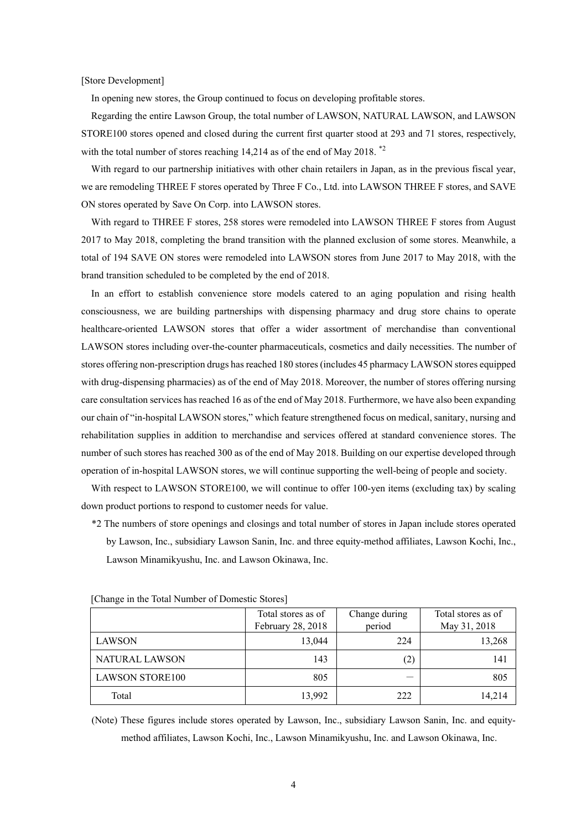[Store Development]

In opening new stores, the Group continued to focus on developing profitable stores.

Regarding the entire Lawson Group, the total number of LAWSON, NATURAL LAWSON, and LAWSON STORE100 stores opened and closed during the current first quarter stood at 293 and 71 stores, respectively, with the total number of stores reaching  $14,214$  as of the end of May 2018.<sup>\*2</sup>

With regard to our partnership initiatives with other chain retailers in Japan, as in the previous fiscal year, we are remodeling THREE F stores operated by Three F Co., Ltd. into LAWSON THREE F stores, and SAVE ON stores operated by Save On Corp. into LAWSON stores.

With regard to THREE F stores, 258 stores were remodeled into LAWSON THREE F stores from August 2017 to May 2018, completing the brand transition with the planned exclusion of some stores. Meanwhile, a total of 194 SAVE ON stores were remodeled into LAWSON stores from June 2017 to May 2018, with the brand transition scheduled to be completed by the end of 2018.

In an effort to establish convenience store models catered to an aging population and rising health consciousness, we are building partnerships with dispensing pharmacy and drug store chains to operate healthcare-oriented LAWSON stores that offer a wider assortment of merchandise than conventional LAWSON stores including over-the-counter pharmaceuticals, cosmetics and daily necessities. The number of stores offering non-prescription drugs has reached 180 stores (includes 45 pharmacy LAWSON stores equipped with drug-dispensing pharmacies) as of the end of May 2018. Moreover, the number of stores offering nursing care consultation services has reached 16 as of the end of May 2018. Furthermore, we have also been expanding our chain of "in-hospital LAWSON stores," which feature strengthened focus on medical, sanitary, nursing and rehabilitation supplies in addition to merchandise and services offered at standard convenience stores. The number of such stores has reached 300 as of the end of May 2018. Building on our expertise developed through operation of in-hospital LAWSON stores, we will continue supporting the well-being of people and society.

With respect to LAWSON STORE100, we will continue to offer 100-yen items (excluding tax) by scaling down product portions to respond to customer needs for value.

\*2 The numbers of store openings and closings and total number of stores in Japan include stores operated by Lawson, Inc., subsidiary Lawson Sanin, Inc. and three equity-method affiliates, Lawson Kochi, Inc., Lawson Minamikyushu, Inc. and Lawson Okinawa, Inc.

|                        | Total stores as of<br>February 28, 2018 | Change during<br>period | Total stores as of<br>May 31, 2018 |
|------------------------|-----------------------------------------|-------------------------|------------------------------------|
| LAWSON                 | 13,044                                  | 224                     | 13,268                             |
| NATURAL LAWSON         | 143                                     | (2)                     | 141                                |
| <b>LAWSON STORE100</b> | 805                                     |                         | 805                                |
| Total                  | 13,992                                  | 222                     | 14,214                             |

[Change in the Total Number of Domestic Stores]

(Note) These figures include stores operated by Lawson, Inc., subsidiary Lawson Sanin, Inc. and equitymethod affiliates, Lawson Kochi, Inc., Lawson Minamikyushu, Inc. and Lawson Okinawa, Inc.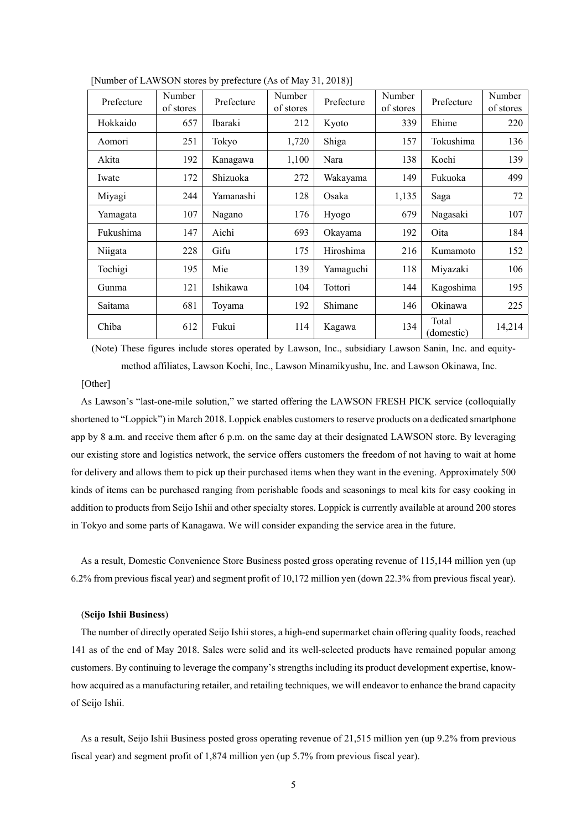| Prefecture | Number<br>of stores | Prefecture     | Number<br>of stores | Prefecture     | Number<br>of stores | Prefecture          | Number<br>of stores |
|------------|---------------------|----------------|---------------------|----------------|---------------------|---------------------|---------------------|
| Hokkaido   | 657                 | <b>Ibaraki</b> | 212                 | Kyoto          | 339                 | Ehime               | 220                 |
| Aomori     | 251                 | Tokyo          | 1,720               | Shiga          | 157                 | Tokushima           | 136                 |
| Akita      | 192                 | Kanagawa       | 1,100               | Nara           | 138                 | Kochi               | 139                 |
| Iwate      | 172                 | Shizuoka       | 272                 | Wakayama       | 149                 | Fukuoka             | 499                 |
| Miyagi     | 244                 | Yamanashi      | 128                 | Osaka          | 1,135               | Saga                | 72                  |
| Yamagata   | 107                 | Nagano         | 176                 | Hyogo          | 679                 | Nagasaki            | 107                 |
| Fukushima  | 147                 | Aichi          | 693                 | Okayama        | 192                 | Oita                | 184                 |
| Niigata    | 228                 | Gifu           | 175                 | Hiroshima      | 216                 | Kumamoto            | 152                 |
| Tochigi    | 195                 | Mie            | 139                 | Yamaguchi      | 118                 | Miyazaki            | 106                 |
| Gunma      | 121                 | Ishikawa       | 104                 | <b>Tottori</b> | 144                 | Kagoshima           | 195                 |
| Saitama    | 681                 | Toyama         | 192                 | Shimane        | 146                 | Okinawa             | 225                 |
| Chiba      | 612                 | Fukui          | 114                 | Kagawa         | 134                 | Total<br>(domestic) | 14,214              |

[Number of LAWSON stores by prefecture (As of May 31, 2018)]

(Note) These figures include stores operated by Lawson, Inc., subsidiary Lawson Sanin, Inc. and equitymethod affiliates, Lawson Kochi, Inc., Lawson Minamikyushu, Inc. and Lawson Okinawa, Inc.

## [Other]

As Lawson's "last-one-mile solution," we started offering the LAWSON FRESH PICK service (colloquially shortened to "Loppick") in March 2018. Loppick enables customers to reserve products on a dedicated smartphone app by 8 a.m. and receive them after 6 p.m. on the same day at their designated LAWSON store. By leveraging our existing store and logistics network, the service offers customers the freedom of not having to wait at home for delivery and allows them to pick up their purchased items when they want in the evening. Approximately 500 kinds of items can be purchased ranging from perishable foods and seasonings to meal kits for easy cooking in addition to products from Seijo Ishii and other specialty stores. Loppick is currently available at around 200 stores in Tokyo and some parts of Kanagawa. We will consider expanding the service area in the future.

As a result, Domestic Convenience Store Business posted gross operating revenue of 115,144 million yen (up 6.2% from previous fiscal year) and segment profit of 10,172 million yen (down 22.3% from previous fiscal year).

#### (**Seijo Ishii Business**)

The number of directly operated Seijo Ishii stores, a high-end supermarket chain offering quality foods, reached 141 as of the end of May 2018. Sales were solid and its well-selected products have remained popular among customers. By continuing to leverage the company's strengths including its product development expertise, knowhow acquired as a manufacturing retailer, and retailing techniques, we will endeavor to enhance the brand capacity of Seijo Ishii.

As a result, Seijo Ishii Business posted gross operating revenue of 21,515 million yen (up 9.2% from previous fiscal year) and segment profit of 1,874 million yen (up 5.7% from previous fiscal year).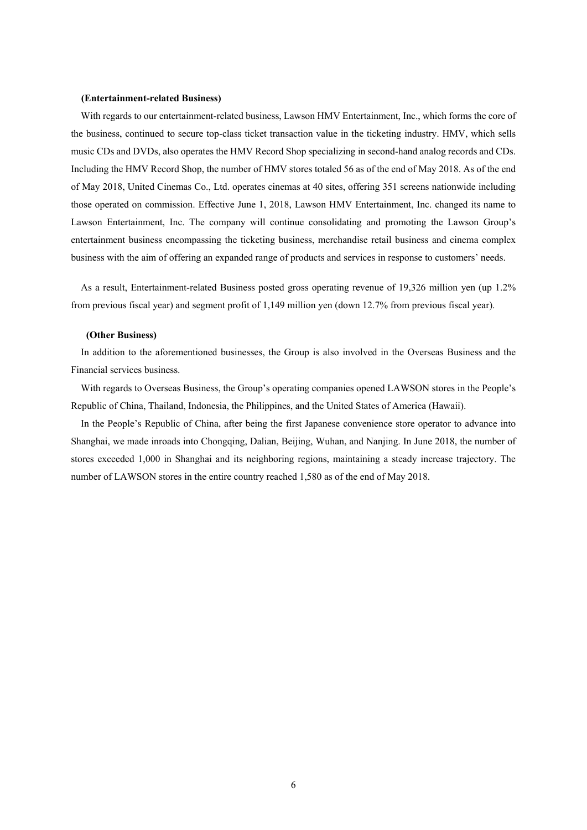#### **(Entertainment-related Business)**

With regards to our entertainment-related business, Lawson HMV Entertainment, Inc., which forms the core of the business, continued to secure top-class ticket transaction value in the ticketing industry. HMV, which sells music CDs and DVDs, also operates the HMV Record Shop specializing in second-hand analog records and CDs. Including the HMV Record Shop, the number of HMV stores totaled 56 as of the end of May 2018. As of the end of May 2018, United Cinemas Co., Ltd. operates cinemas at 40 sites, offering 351 screens nationwide including those operated on commission. Effective June 1, 2018, Lawson HMV Entertainment, Inc. changed its name to Lawson Entertainment, Inc. The company will continue consolidating and promoting the Lawson Group's entertainment business encompassing the ticketing business, merchandise retail business and cinema complex business with the aim of offering an expanded range of products and services in response to customers' needs.

As a result, Entertainment-related Business posted gross operating revenue of 19,326 million yen (up 1.2% from previous fiscal year) and segment profit of 1,149 million yen (down 12.7% from previous fiscal year).

#### **(Other Business)**

In addition to the aforementioned businesses, the Group is also involved in the Overseas Business and the Financial services business.

With regards to Overseas Business, the Group's operating companies opened LAWSON stores in the People's Republic of China, Thailand, Indonesia, the Philippines, and the United States of America (Hawaii).

In the People's Republic of China, after being the first Japanese convenience store operator to advance into Shanghai, we made inroads into Chongqing, Dalian, Beijing, Wuhan, and Nanjing. In June 2018, the number of stores exceeded 1,000 in Shanghai and its neighboring regions, maintaining a steady increase trajectory. The number of LAWSON stores in the entire country reached 1,580 as of the end of May 2018.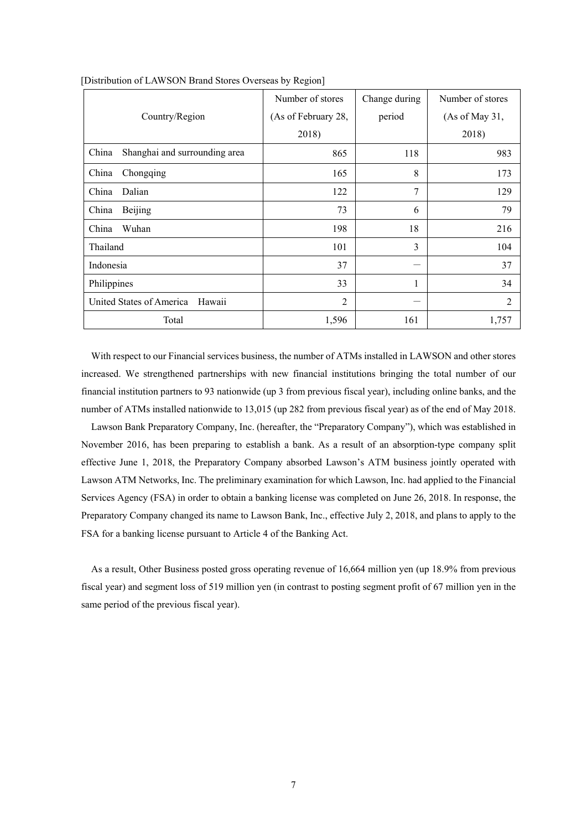|                                        | Number of stores    | Change during | Number of stores |
|----------------------------------------|---------------------|---------------|------------------|
| Country/Region                         | (As of February 28, | period        | (As of May 31,   |
|                                        | 2018)               |               | 2018)            |
| China<br>Shanghai and surrounding area | 865                 | 118           | 983              |
| China<br>Chongqing                     | 165                 | 8             | 173              |
| Dalian<br>China                        | 122                 | 7             | 129              |
| China<br>Beijing                       | 73                  | 6             | 79               |
| China<br>Wuhan                         | 198                 | 18            | 216              |
| Thailand                               | 101                 | 3             | 104              |
| Indonesia                              | 37                  |               | 37               |
| Philippines                            | 33                  |               | 34               |
| United States of America<br>Hawaii     | $\overline{2}$      |               | $\mathfrak{D}$   |
| Total                                  | 1,596               | 161           | 1,757            |

[Distribution of LAWSON Brand Stores Overseas by Region]

With respect to our Financial services business, the number of ATMs installed in LAWSON and other stores increased. We strengthened partnerships with new financial institutions bringing the total number of our financial institution partners to 93 nationwide (up 3 from previous fiscal year), including online banks, and the number of ATMs installed nationwide to 13,015 (up 282 from previous fiscal year) as of the end of May 2018.

Lawson Bank Preparatory Company, Inc. (hereafter, the "Preparatory Company"), which was established in November 2016, has been preparing to establish a bank. As a result of an absorption-type company split effective June 1, 2018, the Preparatory Company absorbed Lawson's ATM business jointly operated with Lawson ATM Networks, Inc. The preliminary examination for which Lawson, Inc. had applied to the Financial Services Agency (FSA) in order to obtain a banking license was completed on June 26, 2018. In response, the Preparatory Company changed its name to Lawson Bank, Inc., effective July 2, 2018, and plans to apply to the FSA for a banking license pursuant to Article 4 of the Banking Act.

As a result, Other Business posted gross operating revenue of 16,664 million yen (up 18.9% from previous fiscal year) and segment loss of 519 million yen (in contrast to posting segment profit of 67 million yen in the same period of the previous fiscal year).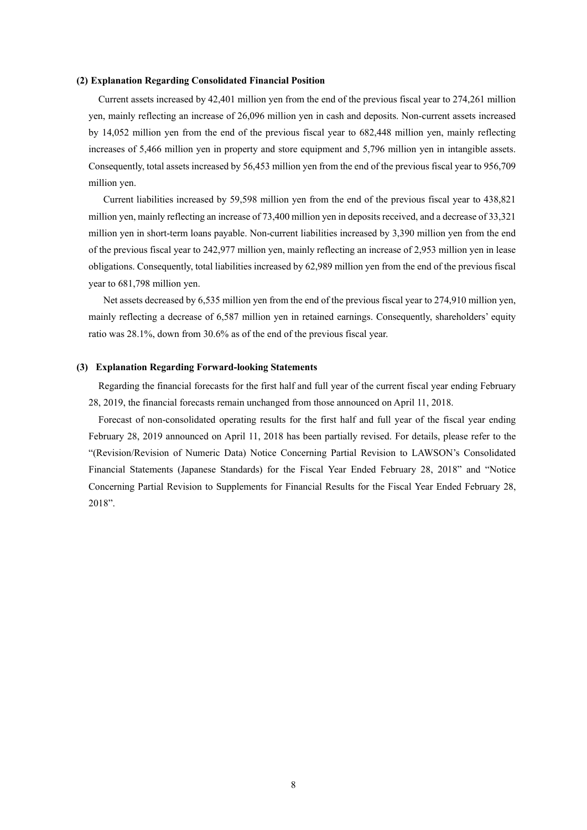### **(2) Explanation Regarding Consolidated Financial Position**

Current assets increased by 42,401 million yen from the end of the previous fiscal year to 274,261 million yen, mainly reflecting an increase of 26,096 million yen in cash and deposits. Non-current assets increased by 14,052 million yen from the end of the previous fiscal year to 682,448 million yen, mainly reflecting increases of 5,466 million yen in property and store equipment and 5,796 million yen in intangible assets. Consequently, total assets increased by 56,453 million yen from the end of the previous fiscal year to 956,709 million yen.

 Current liabilities increased by 59,598 million yen from the end of the previous fiscal year to 438,821 million yen, mainly reflecting an increase of 73,400 million yen in deposits received, and a decrease of 33,321 million yen in short-term loans payable. Non-current liabilities increased by 3,390 million yen from the end of the previous fiscal year to 242,977 million yen, mainly reflecting an increase of 2,953 million yen in lease obligations. Consequently, total liabilities increased by 62,989 million yen from the end of the previous fiscal year to 681,798 million yen.

 Net assets decreased by 6,535 million yen from the end of the previous fiscal year to 274,910 million yen, mainly reflecting a decrease of 6,587 million yen in retained earnings. Consequently, shareholders' equity ratio was 28.1%, down from 30.6% as of the end of the previous fiscal year.

#### **(3) Explanation Regarding Forward-looking Statements**

Regarding the financial forecasts for the first half and full year of the current fiscal year ending February 28, 2019, the financial forecasts remain unchanged from those announced on April 11, 2018.

Forecast of non-consolidated operating results for the first half and full year of the fiscal year ending February 28, 2019 announced on April 11, 2018 has been partially revised. For details, please refer to the "(Revision/Revision of Numeric Data) Notice Concerning Partial Revision to LAWSON's Consolidated Financial Statements (Japanese Standards) for the Fiscal Year Ended February 28, 2018" and "Notice Concerning Partial Revision to Supplements for Financial Results for the Fiscal Year Ended February 28, 2018".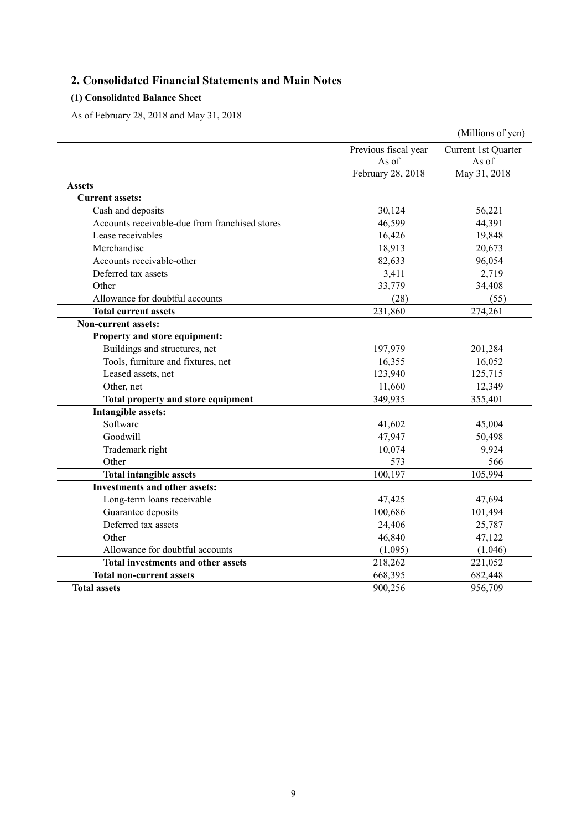# **2. Consolidated Financial Statements and Main Notes**

# **(1) Consolidated Balance Sheet**

As of February 28, 2018 and May 31, 2018

|                                                |                      | (Millions of yen)   |
|------------------------------------------------|----------------------|---------------------|
|                                                | Previous fiscal year | Current 1st Quarter |
|                                                | As of                | As of               |
|                                                | February 28, 2018    | May 31, 2018        |
| <b>Assets</b>                                  |                      |                     |
| <b>Current assets:</b>                         |                      |                     |
| Cash and deposits                              | 30,124               | 56,221              |
| Accounts receivable-due from franchised stores | 46,599               | 44,391              |
| Lease receivables                              | 16,426               | 19,848              |
| Merchandise                                    | 18,913               | 20,673              |
| Accounts receivable-other                      | 82,633               | 96,054              |
| Deferred tax assets                            | 3,411                | 2,719               |
| Other                                          | 33,779               | 34,408              |
| Allowance for doubtful accounts                | (28)                 | (55)                |
| <b>Total current assets</b>                    | 231,860              | 274,261             |
| <b>Non-current assets:</b>                     |                      |                     |
| Property and store equipment:                  |                      |                     |
| Buildings and structures, net                  | 197,979              | 201,284             |
| Tools, furniture and fixtures, net             | 16,355               | 16,052              |
| Leased assets, net                             | 123,940              | 125,715             |
| Other, net                                     | 11,660               | 12,349              |
| Total property and store equipment             | 349,935              | 355,401             |
| Intangible assets:                             |                      |                     |
| Software                                       | 41,602               | 45,004              |
| Goodwill                                       | 47,947               | 50,498              |
| Trademark right                                | 10,074               | 9,924               |
| Other                                          | 573                  | 566                 |
| <b>Total intangible assets</b>                 | 100,197              | 105,994             |
| <b>Investments and other assets:</b>           |                      |                     |
| Long-term loans receivable                     | 47,425               | 47,694              |
| Guarantee deposits                             | 100,686              | 101,494             |
| Deferred tax assets                            | 24,406               | 25,787              |
| Other                                          | 46,840               | 47,122              |
| Allowance for doubtful accounts                | (1,095)              | (1,046)             |
| <b>Total investments and other assets</b>      | 218,262              | 221,052             |
| <b>Total non-current assets</b>                | 668,395              | 682,448             |
| <b>Total assets</b>                            | 900,256              | 956,709             |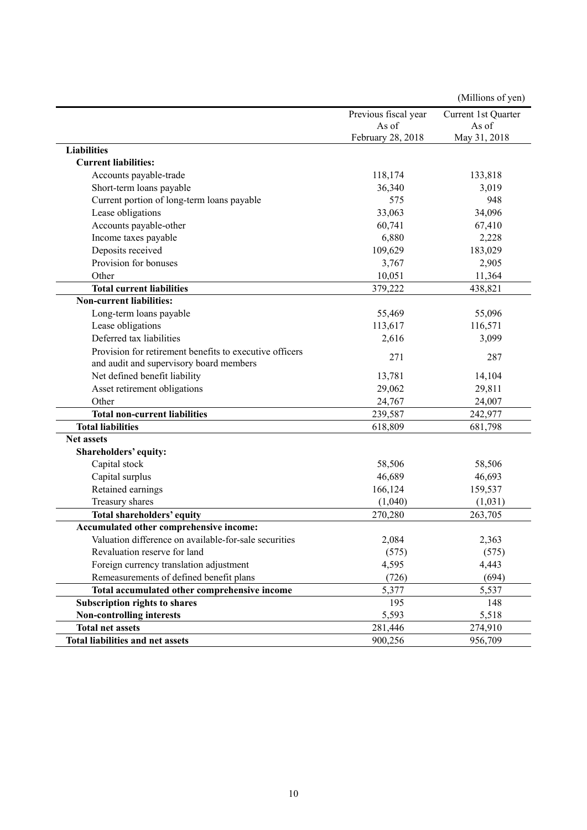|                                                         |                      | (Millions of yen)   |
|---------------------------------------------------------|----------------------|---------------------|
|                                                         | Previous fiscal year | Current 1st Quarter |
|                                                         | As of                | As of               |
|                                                         | February 28, 2018    | May 31, 2018        |
| <b>Liabilities</b>                                      |                      |                     |
| <b>Current liabilities:</b>                             |                      |                     |
| Accounts payable-trade                                  | 118,174              | 133,818             |
| Short-term loans payable                                | 36,340               | 3,019               |
| Current portion of long-term loans payable              | 575                  | 948                 |
| Lease obligations                                       | 33,063               | 34,096              |
| Accounts payable-other                                  | 60,741               | 67,410              |
| Income taxes payable                                    | 6,880                | 2,228               |
| Deposits received                                       | 109,629              | 183,029             |
| Provision for bonuses                                   | 3,767                | 2,905               |
| Other                                                   | 10,051               | 11,364              |
| <b>Total current liabilities</b>                        | 379,222              | 438,821             |
| <b>Non-current liabilities:</b>                         |                      |                     |
| Long-term loans payable                                 | 55,469               | 55,096              |
| Lease obligations                                       | 113,617              | 116,571             |
| Deferred tax liabilities                                | 2,616                | 3,099               |
| Provision for retirement benefits to executive officers | 271                  | 287                 |
| and audit and supervisory board members                 |                      |                     |
| Net defined benefit liability                           | 13,781               | 14,104              |
| Asset retirement obligations                            | 29,062               | 29,811              |
| Other                                                   | 24,767               | 24,007              |
| <b>Total non-current liabilities</b>                    | 239,587              | 242,977             |
| <b>Total liabilities</b>                                | 618,809              | 681,798             |
| <b>Net assets</b>                                       |                      |                     |
| Shareholders' equity:                                   |                      |                     |
| Capital stock                                           | 58,506               | 58,506              |
| Capital surplus                                         | 46,689               | 46,693              |
| Retained earnings                                       | 166,124              | 159,537             |
| Treasury shares                                         | (1,040)              | (1,031)             |
| <b>Total shareholders' equity</b>                       | 270,280              | 263,705             |
| Accumulated other comprehensive income:                 |                      |                     |
| Valuation difference on available-for-sale securities   | 2,084                | 2,363               |
| Revaluation reserve for land                            | (575)                | (575)               |
| Foreign currency translation adjustment                 | 4,595                | 4,443               |
| Remeasurements of defined benefit plans                 | (726)                | (694)               |
| Total accumulated other comprehensive income            | 5,377                | 5,537               |
| <b>Subscription rights to shares</b>                    | 195                  | 148                 |
| <b>Non-controlling interests</b>                        | 5,593                | 5,518               |
| <b>Total net assets</b>                                 | 281,446              | 274,910             |
| Total liabilities and net assets                        | 900,256              | 956,709             |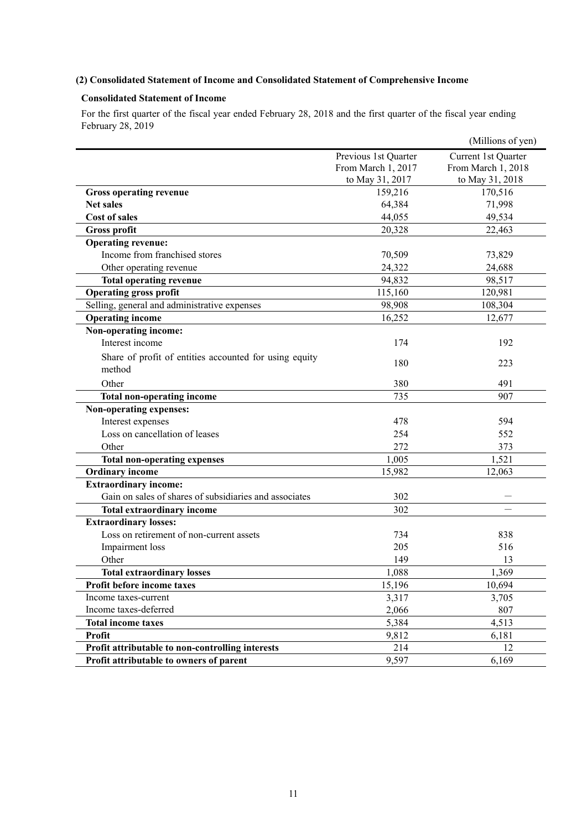# **(2) Consolidated Statement of Income and Consolidated Statement of Comprehensive Income**

# **Consolidated Statement of Income**

For the first quarter of the fiscal year ended February 28, 2018 and the first quarter of the fiscal year ending February 28, 2019

|                                                                  |                      | (Millions of yen)   |
|------------------------------------------------------------------|----------------------|---------------------|
|                                                                  | Previous 1st Quarter | Current 1st Quarter |
|                                                                  | From March 1, 2017   | From March 1, 2018  |
|                                                                  | to May 31, 2017      | to May 31, 2018     |
| <b>Gross operating revenue</b>                                   | 159,216              | 170,516             |
| <b>Net sales</b>                                                 | 64,384               | 71,998              |
| <b>Cost of sales</b>                                             | 44,055               | 49,534              |
| <b>Gross profit</b>                                              | 20,328               | 22,463              |
| <b>Operating revenue:</b>                                        |                      |                     |
| Income from franchised stores                                    | 70,509               | 73,829              |
| Other operating revenue                                          | 24,322               | 24,688              |
| <b>Total operating revenue</b>                                   | 94,832               | 98,517              |
| <b>Operating gross profit</b>                                    | 115,160              | 120,981             |
| Selling, general and administrative expenses                     | 98,908               | 108,304             |
| <b>Operating income</b>                                          | 16,252               | 12,677              |
| Non-operating income:                                            |                      |                     |
| Interest income                                                  | 174                  | 192                 |
| Share of profit of entities accounted for using equity<br>method | 180                  | 223                 |
| Other                                                            | 380                  | 491                 |
| Total non-operating income                                       | 735                  | 907                 |
| Non-operating expenses:                                          |                      |                     |
| Interest expenses                                                | 478                  | 594                 |
| Loss on cancellation of leases                                   | 254                  | 552                 |
| Other                                                            | 272                  | 373                 |
| <b>Total non-operating expenses</b>                              | 1,005                | 1,521               |
| <b>Ordinary income</b>                                           | 15,982               | 12,063              |
| <b>Extraordinary income:</b>                                     |                      |                     |
| Gain on sales of shares of subsidiaries and associates           | 302                  |                     |
| <b>Total extraordinary income</b>                                | 302                  |                     |
| <b>Extraordinary losses:</b>                                     |                      |                     |
| Loss on retirement of non-current assets                         | 734                  | 838                 |
| Impairment loss                                                  | 205                  | 516                 |
| Other                                                            | 149                  | 13                  |
| <b>Total extraordinary losses</b>                                | 1,088                | 1,369               |
| Profit before income taxes                                       | 15,196               | 10,694              |
| Income taxes-current                                             | 3,317                | 3,705               |
| Income taxes-deferred                                            | 2,066                | 807                 |
| <b>Total income taxes</b>                                        | 5,384                | 4,513               |
| <b>Profit</b>                                                    | 9,812                | 6,181               |
| Profit attributable to non-controlling interests                 | 214                  | 12                  |
| Profit attributable to owners of parent                          | 9,597                | 6,169               |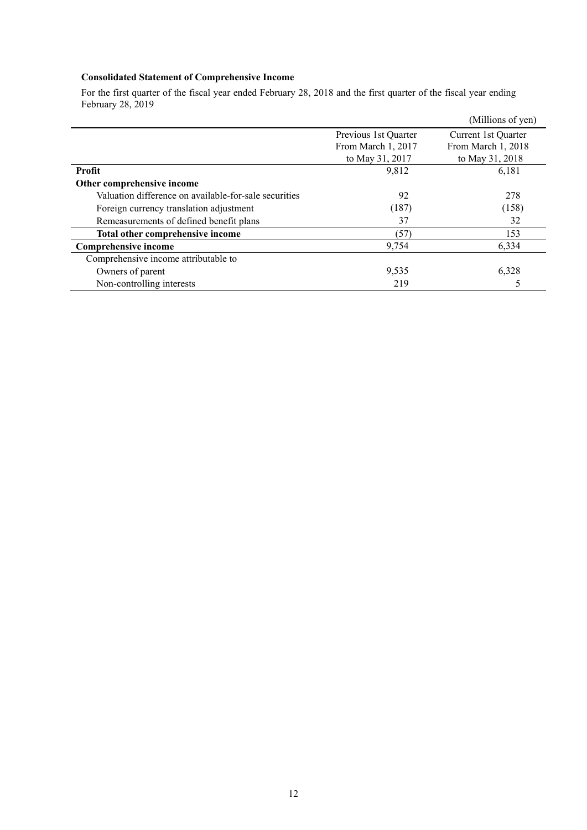# **Consolidated Statement of Comprehensive Income**

For the first quarter of the fiscal year ended February 28, 2018 and the first quarter of the fiscal year ending February 28, 2019

|                                                       |                      | (Millions of yen)   |
|-------------------------------------------------------|----------------------|---------------------|
|                                                       | Previous 1st Quarter | Current 1st Quarter |
|                                                       | From March 1, 2017   | From March 1, 2018  |
|                                                       | to May 31, 2017      | to May 31, 2018     |
| Profit                                                | 9,812                | 6,181               |
| Other comprehensive income                            |                      |                     |
| Valuation difference on available-for-sale securities | 92                   | 278                 |
| Foreign currency translation adjustment               | (187)                | (158)               |
| Remeasurements of defined benefit plans               | 37                   | 32                  |
| Total other comprehensive income                      | (57)                 | 153                 |
| <b>Comprehensive income</b>                           | 9,754                | 6,334               |
| Comprehensive income attributable to                  |                      |                     |
| Owners of parent                                      | 9,535                | 6,328               |
| Non-controlling interests                             | 219                  |                     |